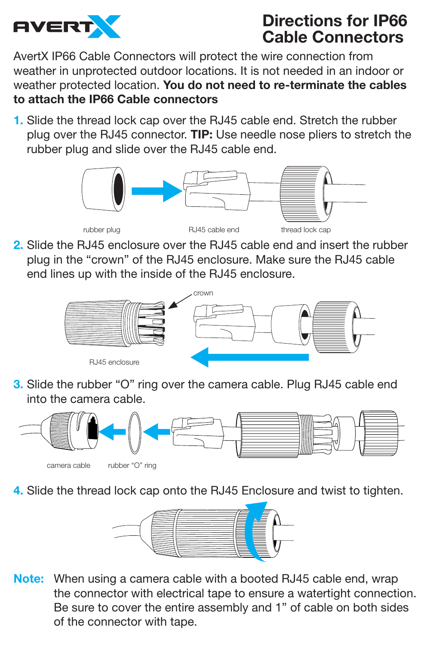

## **Directions for IP66 Cable Connectors**

AvertX IP66 Cable Connectors will protect the wire connection from weather in unprotected outdoor locations. It is not needed in an indoor or weather protected location. **You do not need to re-terminate the cables to attach the IP66 Cable connectors**

**1.** Slide the thread lock cap over the RJ45 cable end. Stretch the rubber plug over the RJ45 connector. **TIP:** Use needle nose pliers to stretch the rubber plug and slide over the RJ45 cable end.



**2.** Slide the RJ45 enclosure over the RJ45 cable end and insert the rubber plug in the "crown" of the RJ45 enclosure. Make sure the RJ45 cable end lines up with the inside of the RJ45 enclosure.



**3.** Slide the rubber "O" ring over the camera cable. Plug RJ45 cable end into the camera cable.



**4.** Slide the thread lock cap onto the RJ45 Enclosure and twist to tighten.



**Note:** When using a camera cable with a booted RJ45 cable end, wrap the connector with electrical tape to ensure a watertight connection. Be sure to cover the entire assembly and 1" of cable on both sides of the connector with tape.